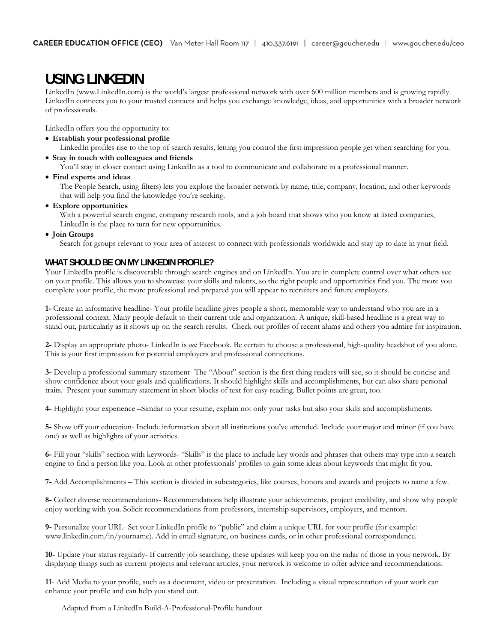# **USING LINKEDIN**

LinkedIn (www.LinkedIn.com) is the world's largest professional network with over 600 million members and is growing rapidly. LinkedIn connects you to your trusted contacts and helps you exchange knowledge, ideas, and opportunities with a broader network of professionals.

LinkedIn offers you the opportunity to:

**Establish your professional profile** 

LinkedIn profiles rise to the top of search results, letting you control the first impression people get when searching for you.

**Stay in touch with colleagues and friends** 

You'll stay in closer contact using LinkedIn as a tool to communicate and collaborate in a professional manner.

**Find experts and ideas** 

The People Search, using filters) lets you explore the broader network by name, title, company, location, and other keywords that will help you find the knowledge you're seeking.

**Explore opportunities** 

With a powerful search engine, company research tools, and a job board that shows who you know at listed companies, LinkedIn is the place to turn for new opportunities.

**Join Groups** 

Search for groups relevant to your area of interest to connect with professionals worldwide and stay up to date in your field.

## **WHAT SHOULD BE ON MY LINKEDIN PROFILE?**

Your LinkedIn profile is discoverable through search engines and on LinkedIn. You are in complete control over what others see on your profile. This allows you to showcase your skills and talents, so the right people and opportunities find you. The more you complete your profile, the more professional and prepared you will appear to recruiters and future employers.

**1-** Create an informative headline- Your profile headline gives people a short, memorable way to understand who you are in a professional context. Many people default to their current title and organization. A unique, skill-based headline is a great way to stand out, particularly as it shows up on the search results. Check out profiles of recent alums and others you admire for inspiration.

**2-** Display an appropriate photo- LinkedIn is *not* Facebook. Be certain to choose a professional, high-quality headshot of you alone. This is your first impression for potential employers and professional connections.

**3-** Develop a professional summary statement- The "About" section is the first thing readers will see, so it should be concise and show confidence about your goals and qualifications. It should highlight skills and accomplishments, but can also share personal traits. Present your summary statement in short blocks of text for easy reading. Bullet points are great, too.

**4-** Highlight your experience –Similar to your resume, explain not only your tasks but also your skills and accomplishments.

**5-** Show off your education- Include information about all institutions you've attended. Include your major and minor (if you have one) as well as highlights of your activities.

**6-** Fill your "skills" section with keywords- "Skills" is the place to include key words and phrases that others may type into a search engine to find a person like you. Look at other professionals' profiles to gain some ideas about keywords that might fit you.

**7-** Add Accomplishments – This section is divided in subcategories, like courses, honors and awards and projects to name a few.

**8-** Collect diverse recommendations- Recommendations help illustrate your achievements, project credibility, and show why people enjoy working with you. Solicit recommendations from professors, internship supervisors, employers, and mentors.

**9-** Personalize your URL- Set your LinkedIn profile to "public" and claim a unique URL for your profile (for example: www.linkedin.com/in/yourname). Add in email signature, on business cards, or in other professional correspondence.

**10-** Update your status regularly- If currently job searching, these updates will keep you on the radar of those in your network. By displaying things such as current projects and relevant articles, your network is welcome to offer advice and recommendations.

**11**- Add Media to your profile, such as a document, video or presentation. Including a visual representation of your work can enhance your profile and can help you stand out.

Adapted from a LinkedIn Build-A-Professional-Profile handout